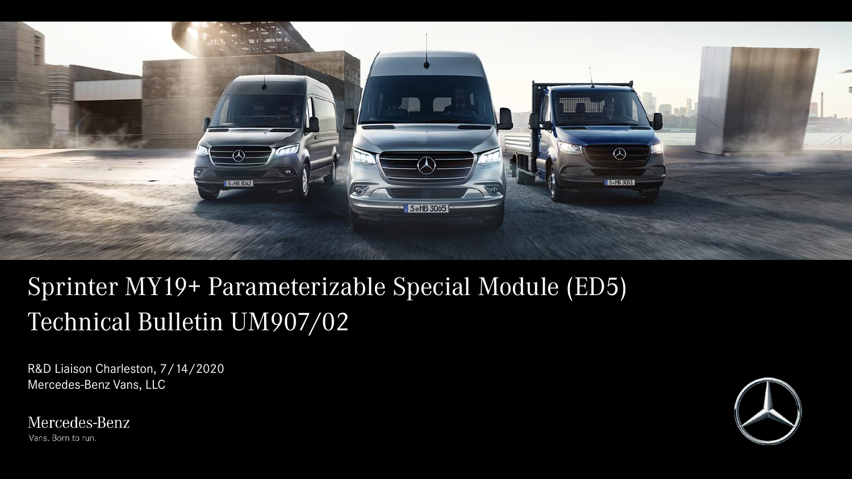

# Sprinter MY19+ Parameterizable Special Module (ED5) Technical Bulletin UM907/02

R&D Liaison Charleston, 7/14/2020 Mercedes-Benz Vans, LLC

Mercedes-Benz Vans. Born to run.

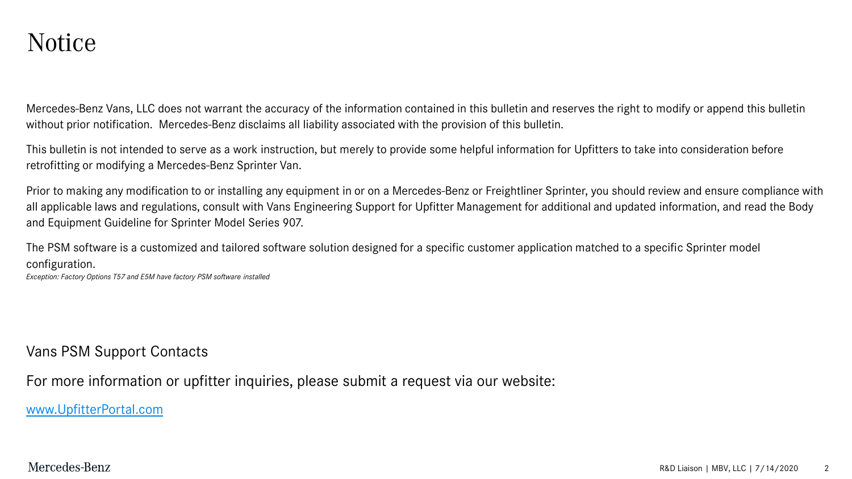#### Notice

Mercedes-Benz Vans, LLC does not warrant the accuracy of the information contained in this bulletin and reserves the right to modify or append this bulletin without prior notification. Mercedes-Benz disclaims all liability associated with the provision of this bulletin.

This bulletin is not intended to serve as a work instruction, but merely to provide some helpful information for Upfitters to take into consideration before retrofitting or modifying a Mercedes-Benz Sprinter Van.

Prior to making any modification to or installing any equipment in or on a Mercedes-Benz or Freightliner Sprinter, you should review and ensure compliance with all applicable laws and regulations, consult with Vans Engineering Support for Upfitter Management for additional and updated information, and read the Body and Equipment Guideline for Sprinter Model Series 907.

The PSM software is a customized and tailored software solution designed for a specific customer application matched to a specific Sprinter model configuration.

*Exception: Factory Options T57 and E5M have factory PSM software installed*

Vans PSM Support Contacts

For more information or upfitter inquiries, please submit a request via our website:

[www.UpfitterPortal.com](http://www.upfitterportal.com/)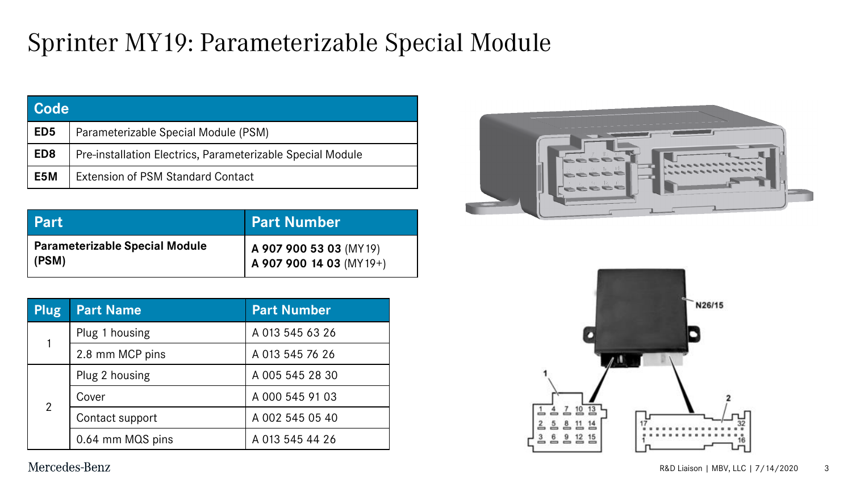### Sprinter MY19: Parameterizable Special Module

| l Code           |                                                            |  |
|------------------|------------------------------------------------------------|--|
| ED <sub>5</sub>  | Parameterizable Special Module (PSM)                       |  |
| ED <sub>8</sub>  | Pre-installation Electrics, Parameterizable Special Module |  |
| E <sub>5</sub> M | <b>Extension of PSM Standard Contact</b>                   |  |

| <b>Part</b>                                    | <b>Part Number</b>                                |
|------------------------------------------------|---------------------------------------------------|
| <b>Parameterizable Special Module</b><br>(PSM) | A 907 900 53 03 (MY19)<br>A 907 900 14 03 (MY19+) |

| Plug           | <b>Part Name</b> | <b>Part Number</b> |
|----------------|------------------|--------------------|
|                | Plug 1 housing   | A 013 545 63 26    |
|                | 2.8 mm MCP pins  | A 013 545 76 26    |
|                | Plug 2 housing   | A 005 545 28 30    |
| $\overline{2}$ | Cover            | A 000 545 91 03    |
|                | Contact support  | A 002 545 05 40    |
|                | 0.64 mm MQS pins | A 013 545 44 26    |



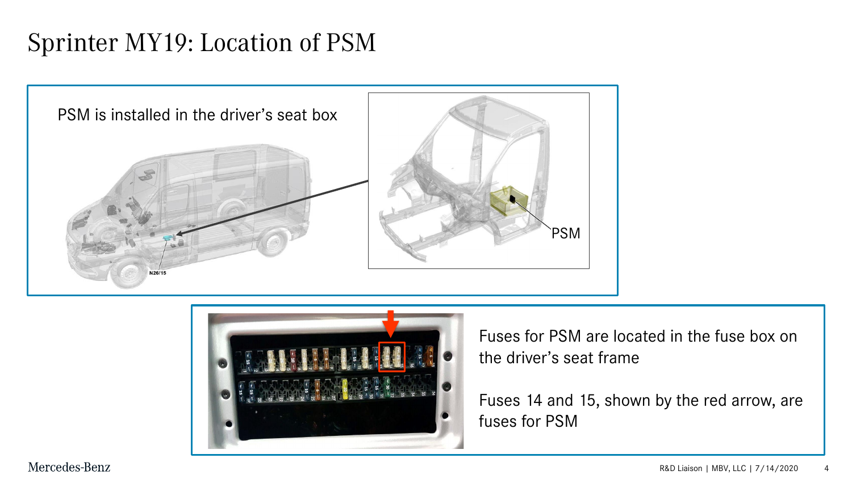### Sprinter MY19: Location of PSM





Fuses for PSM are located in the fuse box on the driver's seat frame

Fuses 14 and 15, shown by the red arrow, are fuses for PSM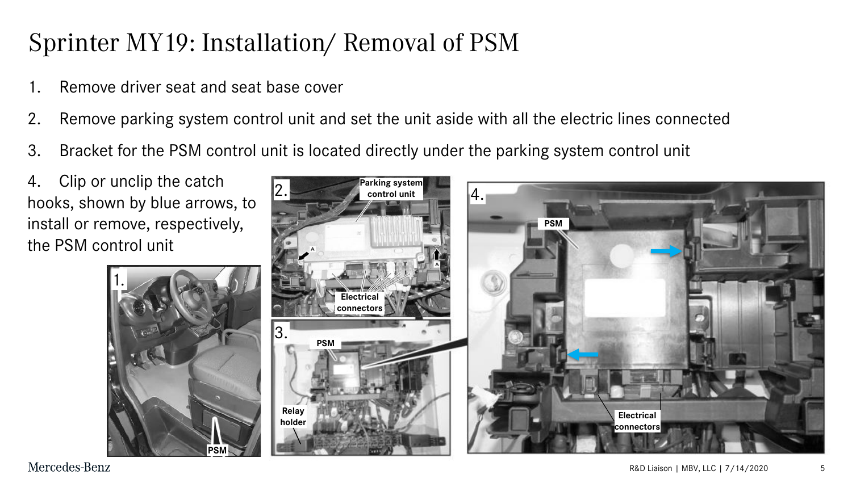# Sprinter MY19: Installation/ Removal of PSM

- Remove driver seat and seat base cover
- 2. Remove parking system control unit and set the unit aside with all the electric lines connected
- 3. Bracket for the PSM control unit is located directly under the parking system control unit

4. Clip or unclip the catch hooks, shown by blue arrows, to install or remove, respectively, the PSM control unit

1.

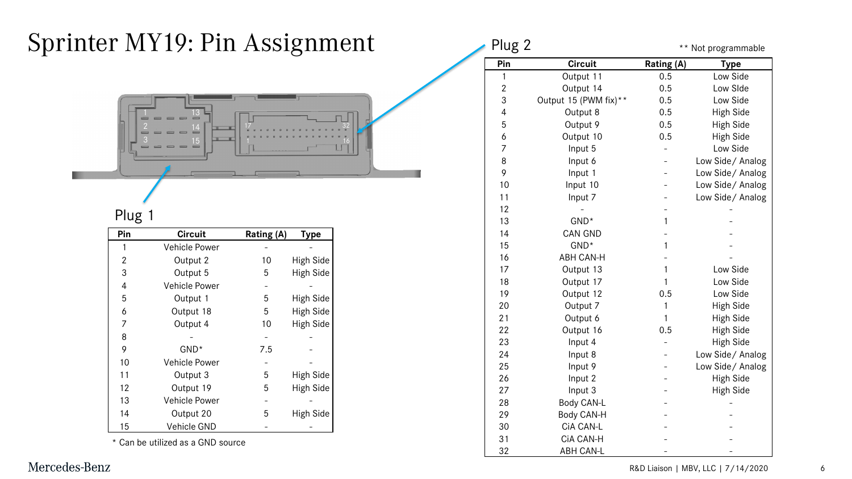### Sprinter MY19: Pin Assignment



#### Plug 1

| $\overline{a}$<br>3     | $\overline{13}$<br>$\frac{14}{1}$<br>$\frac{15}{2}$ |            |                  |
|-------------------------|-----------------------------------------------------|------------|------------------|
|                         |                                                     |            |                  |
| Plug 1                  |                                                     |            |                  |
| Pin                     | <b>Circuit</b>                                      | Rating (A) | <b>Type</b>      |
| $\mathbf{1}$            | <b>Vehicle Power</b>                                |            |                  |
| 2                       | Output 2                                            | 10         | <b>High Side</b> |
| 3                       | Output 5                                            | 5          | <b>High Side</b> |
| $\overline{\mathbf{4}}$ | <b>Vehicle Power</b>                                |            |                  |
| 5                       | Output 1                                            | 5          | <b>High Side</b> |
| 6                       | Output 18                                           | 5          | High Side        |
| 7                       | Output 4                                            | 10         | <b>High Side</b> |
| 8                       |                                                     |            |                  |
| 9                       | GND*                                                | 7.5        |                  |
| 10                      | Vehicle Power                                       |            |                  |
| 11                      | Output 3                                            | 5          | High Side        |
| 12                      | Output 19                                           | 5          | High Side        |
| 13                      | Vehicle Power                                       |            |                  |
| 14                      | Output 20                                           | 5          | <b>High Side</b> |
| 15                      | Vehicle GND                                         |            |                  |
| *                       | Can be utilized as a GND source                     |            |                  |

| Plug 2         |                       |                   | ** Not programmable |
|----------------|-----------------------|-------------------|---------------------|
| Pin            | <b>Circuit</b>        | <b>Rating (A)</b> | <b>Type</b>         |
| 1              | Output 11             | 0.5               | Low Side            |
| $\overline{2}$ | Output 14             | 0.5               | Low SIde            |
| 3              | Output 15 (PWM fix)** | 0.5               | Low Side            |
| $\overline{4}$ | Output 8              | 0.5               | High Side           |
| 5              | Output 9              | 0.5               | High Side           |
| 6              | Output 10             | 0.5               | High Side           |
| 7              | Input 5               |                   | Low Side            |
| 8              | Input 6               |                   | Low Side / Analog   |
| 9              | Input 1               |                   | Low Side/Analog     |
| 10             | Input 10              |                   | Low Side/Analog     |
| 11             | Input 7               |                   | Low Side/ Analog    |
| 12             |                       |                   |                     |
| 13             | GND <sup>*</sup>      | 1                 |                     |
| 14             | <b>CAN GND</b>        |                   |                     |
| 15             | GND <sup>*</sup>      | 1                 |                     |
| 16             | <b>ABH CAN-H</b>      |                   |                     |
| 17             | Output 13             | 1                 | Low Side            |
| 18             | Output 17             | 1                 | Low Side            |
| 19             | Output 12             | 0.5               | Low Side            |
| 20             | Output 7              | 1                 | High Side           |
| 21             | Output 6              | 1                 | High Side           |
| 22             | Output 16             | 0.5               | High Side           |
| 23             | Input 4               |                   | High Side           |
| 24             | Input 8               |                   | Low Side/ Analog    |
| 25             | Input 9               |                   | Low Side/ Analog    |
| 26             | Input 2               |                   | High Side           |
| 27             | Input 3               |                   | High Side           |
| 28             | Body CAN-L            |                   |                     |
| 29             | Body CAN-H            |                   |                     |
| 30             | CiA CAN-L             |                   |                     |
| 31             | CIA CAN-H             |                   |                     |
| 32             | <b>ABH CAN-L</b>      |                   |                     |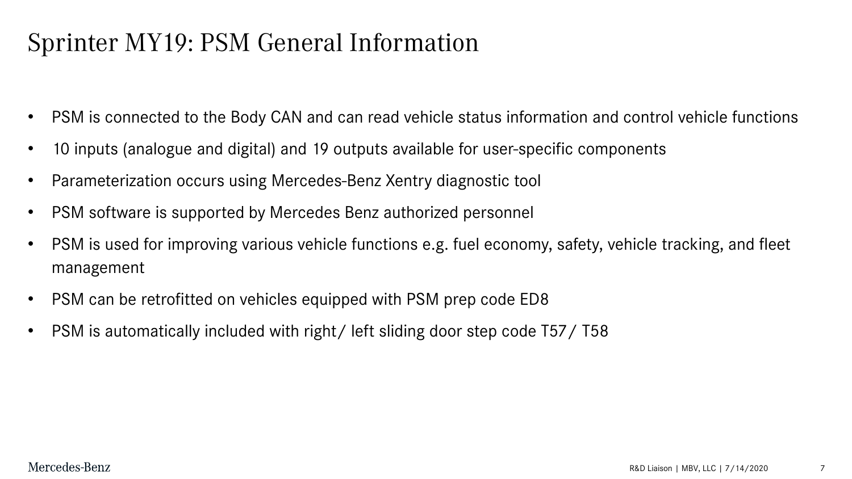### Sprinter MY19: PSM General Information

- PSM is connected to the Body CAN and can read vehicle status information and control vehicle functions
- 10 inputs (analogue and digital) and 19 outputs available for user-specific components
- Parameterization occurs using Mercedes-Benz Xentry diagnostic tool
- PSM software is supported by Mercedes Benz authorized personnel
- PSM is used for improving various vehicle functions e.g. fuel economy, safety, vehicle tracking, and fleet management
- PSM can be retrofitted on vehicles equipped with PSM prep code ED8
- PSM is automatically included with right/ left sliding door step code T57/T58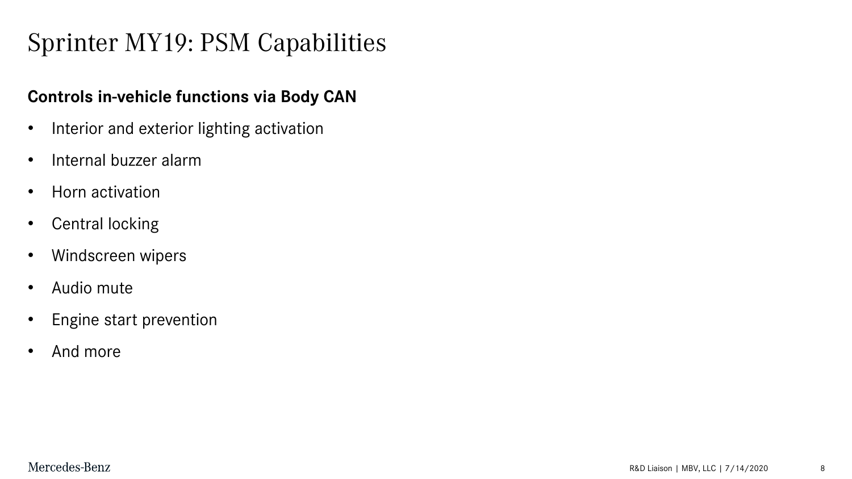# Sprinter MY19: PSM Capabilities

#### **Controls in-vehicle functions via Body CAN**

- Interior and exterior lighting activation
- Internal buzzer alarm
- Horn activation
- Central locking
- Windscreen wipers
- Audio mute
- Engine start prevention
- And more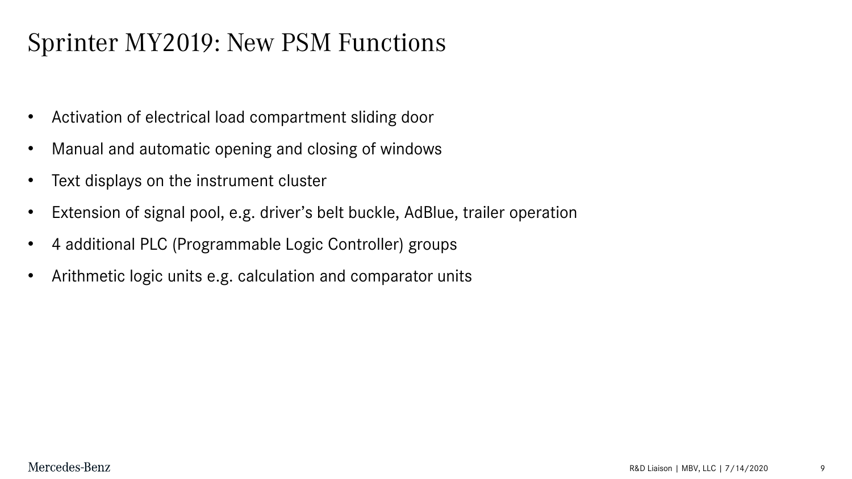# Sprinter MY2019: New PSM Functions

- Activation of electrical load compartment sliding door
- Manual and automatic opening and closing of windows
- Text displays on the instrument cluster
- Extension of signal pool, e.g. driver's belt buckle, AdBlue, trailer operation
- 4 additional PLC (Programmable Logic Controller) groups
- Arithmetic logic units e.g. calculation and comparator units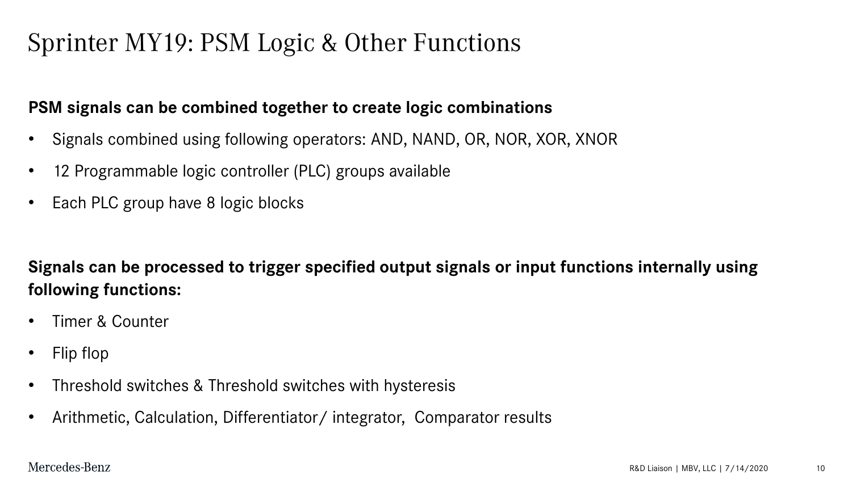### Sprinter MY19: PSM Logic & Other Functions

#### **PSM signals can be combined together to create logic combinations**

- Signals combined using following operators: AND, NAND, OR, NOR, XOR, XNOR
- 12 Programmable logic controller (PLC) groups available
- Each PLC group have 8 logic blocks

**Signals can be processed to trigger specified output signals or input functions internally using following functions:**

- Timer & Counter
- Flip flop
- Threshold switches & Threshold switches with hysteresis
- Arithmetic, Calculation, Differentiator/ integrator, Comparator results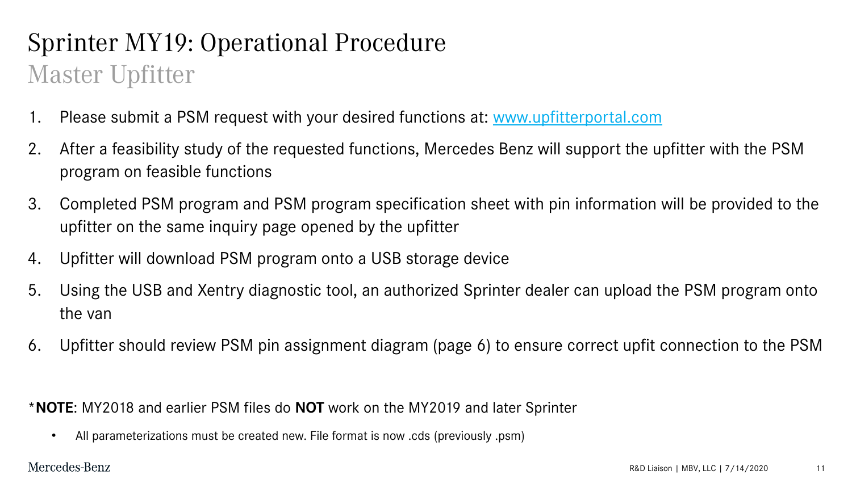# Sprinter MY19: Operational Procedure Master Upfitter

- 1. Please submit a PSM request with your desired functions at: [www.upfitterportal.com](http://www.upfitterportal.com/)
- 2. After a feasibility study of the requested functions, Mercedes Benz will support the upfitter with the PSM program on feasible functions
- 3. Completed PSM program and PSM program specification sheet with pin information will be provided to the upfitter on the same inquiry page opened by the upfitter
- 4. Upfitter will download PSM program onto a USB storage device
- 5. Using the USB and Xentry diagnostic tool, an authorized Sprinter dealer can upload the PSM program onto the van
- 6. Upfitter should review PSM pin assignment diagram (page 6) to ensure correct upfit connection to the PSM

\***NOTE**: MY2018 and earlier PSM files do **NOT** work on the MY2019 and later Sprinter

• All parameterizations must be created new. File format is now .cds (previously .psm)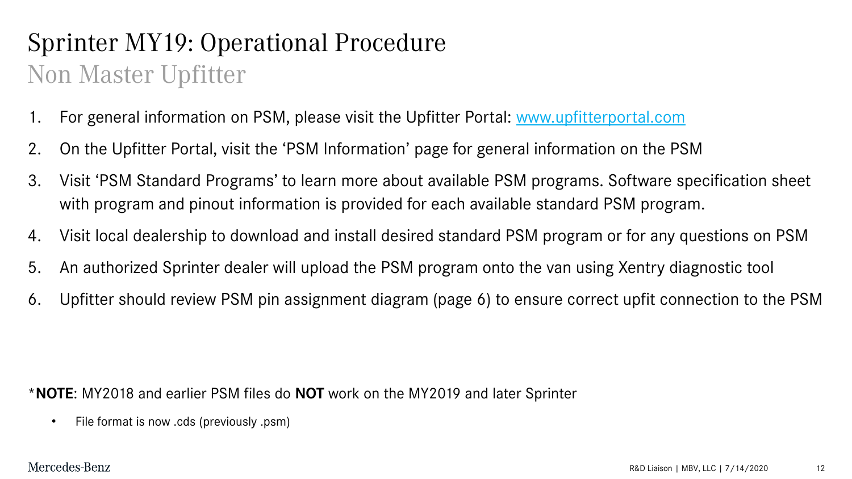# Sprinter MY19: Operational Procedure Non Master Upfitter

- 1. For general information on PSM, please visit the Upfitter Portal: [www.upfitterportal.com](http://www.upfitterportal.com/)
- 2. On the Upfitter Portal, visit the 'PSM Information' page for general information on the PSM
- 3. Visit 'PSM Standard Programs' to learn more about available PSM programs. Software specification sheet with program and pinout information is provided for each available standard PSM program.
- 4. Visit local dealership to download and install desired standard PSM program or for any questions on PSM
- 5. An authorized Sprinter dealer will upload the PSM program onto the van using Xentry diagnostic tool
- 6. Upfitter should review PSM pin assignment diagram (page 6) to ensure correct upfit connection to the PSM

\***NOTE**: MY2018 and earlier PSM files do **NOT** work on the MY2019 and later Sprinter

• File format is now .cds (previously .psm)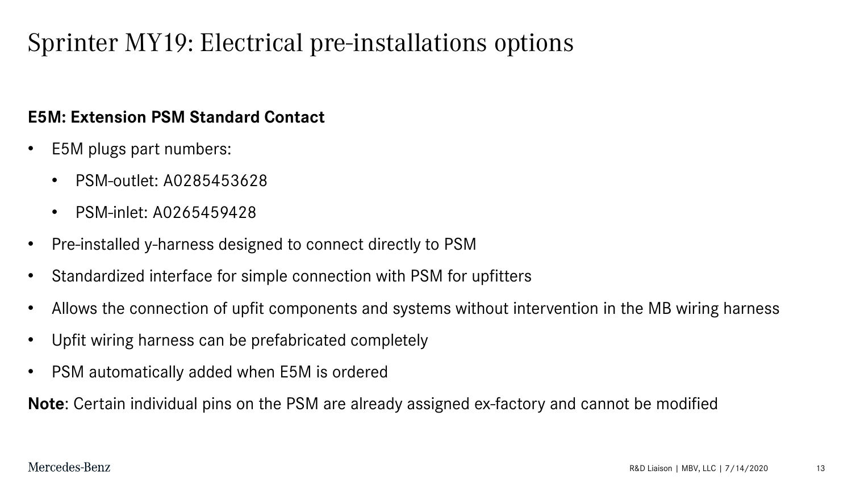### Sprinter MY19: Electrical pre-installations options

#### **E5M: Extension PSM Standard Contact**

- E5M plugs part numbers:
	- PSM-outlet: A0285453628
	- PSM-inlet: A0265459428
- Pre-installed y-harness designed to connect directly to PSM
- Standardized interface for simple connection with PSM for upfitters
- Allows the connection of upfit components and systems without intervention in the MB wiring harness
- Upfit wiring harness can be prefabricated completely
- PSM automatically added when E5M is ordered

**Note**: Certain individual pins on the PSM are already assigned ex-factory and cannot be modified